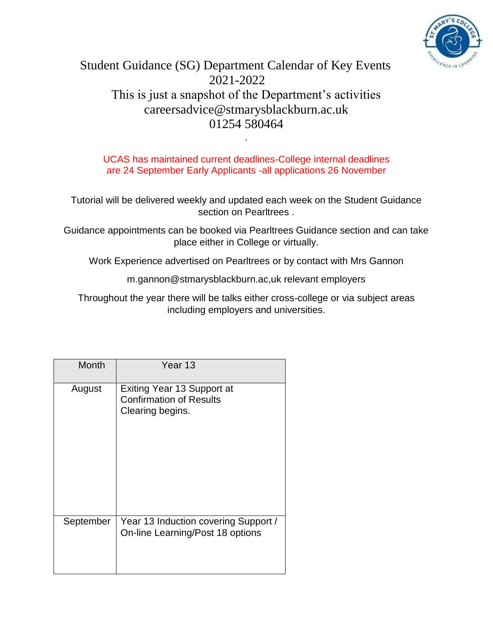

## Student Guidance (SG) Department Calendar of Key Events 2021-2022 This is just a snapshot of the Department's activities careersadvice@stmarysblackburn.ac.uk 01254 580464

UCAS has maintained current deadlines-College internal deadlines are 24 September Early Applicants -all applications 26 November

.

Tutorial will be delivered weekly and updated each week on the Student Guidance section on Pearltrees .

Guidance appointments can be booked via Pearltrees Guidance section and can take place either in College or virtually.

Work Experience advertised on Pearltrees or by contact with Mrs Gannon

m.gannon@stmarysblackburn.ac,uk relevant employers

Throughout the year there will be talks either cross-college or via subject areas including employers and universities.

| <b>Month</b> | Year 13                                                                                 |
|--------------|-----------------------------------------------------------------------------------------|
| August       | <b>Exiting Year 13 Support at</b><br><b>Confirmation of Results</b><br>Clearing begins. |
| September    | Year 13 Induction covering Support /<br>On-line Learning/Post 18 options                |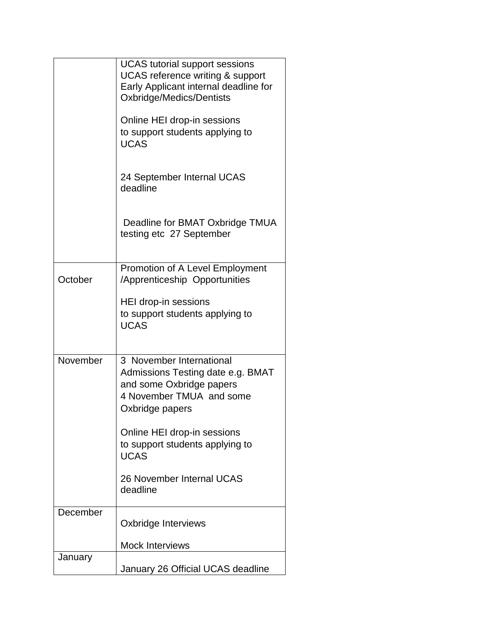|          | <b>UCAS</b> tutorial support sessions<br><b>UCAS</b> reference writing & support<br>Early Applicant internal deadline for<br>Oxbridge/Medics/Dentists |
|----------|-------------------------------------------------------------------------------------------------------------------------------------------------------|
|          | Online HEI drop-in sessions<br>to support students applying to<br><b>UCAS</b>                                                                         |
|          | 24 September Internal UCAS<br>deadline                                                                                                                |
|          | Deadline for BMAT Oxbridge TMUA<br>testing etc 27 September                                                                                           |
| October  | Promotion of A Level Employment<br>/Apprenticeship Opportunities                                                                                      |
|          | HEI drop-in sessions<br>to support students applying to<br><b>UCAS</b>                                                                                |
| November | 3 November International<br>Admissions Testing date e.g. BMAT<br>and some Oxbridge papers<br>4 November TMUA and some<br>Oxbridge papers              |
|          | Online HEI drop-in sessions<br>to support students applying to<br><b>UCAS</b>                                                                         |
|          | 26 November Internal UCAS<br>deadline                                                                                                                 |
| December | Oxbridge Interviews                                                                                                                                   |
|          | <b>Mock Interviews</b>                                                                                                                                |
| January  | January 26 Official UCAS deadline                                                                                                                     |